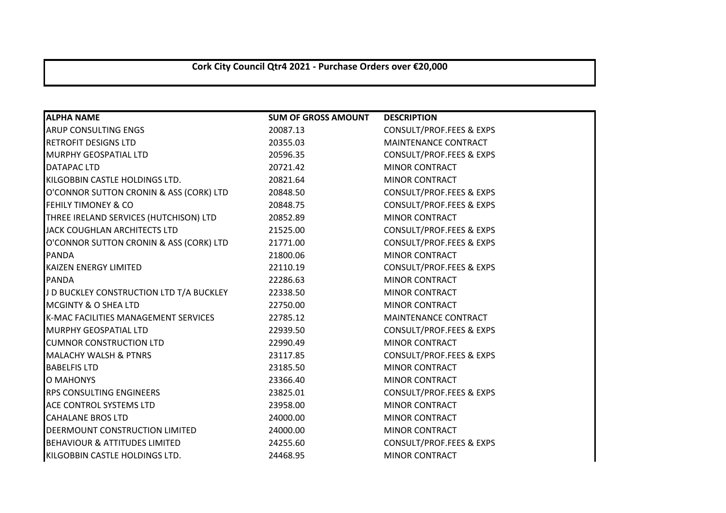## **Cork City Council Qtr4 2021 - Purchase Orders over €20,000**

| <b>ALPHA NAME</b>                        | <b>SUM OF GROSS AMOUNT</b> | <b>DESCRIPTION</b>                  |
|------------------------------------------|----------------------------|-------------------------------------|
| <b>ARUP CONSULTING ENGS</b>              | 20087.13                   | <b>CONSULT/PROF.FEES &amp; EXPS</b> |
| <b>RETROFIT DESIGNS LTD</b>              | 20355.03                   | MAINTENANCE CONTRACT                |
| <b>MURPHY GEOSPATIAL LTD</b>             | 20596.35                   | CONSULT/PROF.FEES & EXPS            |
| DATAPAC LTD                              | 20721.42                   | <b>MINOR CONTRACT</b>               |
| KILGOBBIN CASTLE HOLDINGS LTD.           | 20821.64                   | <b>MINOR CONTRACT</b>               |
| O'CONNOR SUTTON CRONIN & ASS (CORK) LTD  | 20848.50                   | <b>CONSULT/PROF.FEES &amp; EXPS</b> |
| <b>FEHILY TIMONEY &amp; CO</b>           | 20848.75                   | <b>CONSULT/PROF.FEES &amp; EXPS</b> |
| THREE IRELAND SERVICES (HUTCHISON) LTD   | 20852.89                   | <b>MINOR CONTRACT</b>               |
| JACK COUGHLAN ARCHITECTS LTD             | 21525.00                   | <b>CONSULT/PROF.FEES &amp; EXPS</b> |
| O'CONNOR SUTTON CRONIN & ASS (CORK) LTD  | 21771.00                   | <b>CONSULT/PROF.FEES &amp; EXPS</b> |
| <b>PANDA</b>                             | 21800.06                   | <b>MINOR CONTRACT</b>               |
| <b>KAIZEN ENERGY LIMITED</b>             | 22110.19                   | <b>CONSULT/PROF.FEES &amp; EXPS</b> |
| <b>PANDA</b>                             | 22286.63                   | <b>MINOR CONTRACT</b>               |
| J D BUCKLEY CONSTRUCTION LTD T/A BUCKLEY | 22338.50                   | <b>MINOR CONTRACT</b>               |
| <b>MCGINTY &amp; O SHEA LTD</b>          | 22750.00                   | MINOR CONTRACT                      |
| K-MAC FACILITIES MANAGEMENT SERVICES     | 22785.12                   | MAINTENANCE CONTRACT                |
| <b>MURPHY GEOSPATIAL LTD</b>             | 22939.50                   | <b>CONSULT/PROF.FEES &amp; EXPS</b> |
| <b>CUMNOR CONSTRUCTION LTD</b>           | 22990.49                   | <b>MINOR CONTRACT</b>               |
| <b>MALACHY WALSH &amp; PTNRS</b>         | 23117.85                   | <b>CONSULT/PROF.FEES &amp; EXPS</b> |
| <b>BABELFIS LTD</b>                      | 23185.50                   | <b>MINOR CONTRACT</b>               |
| O MAHONYS                                | 23366.40                   | <b>MINOR CONTRACT</b>               |
| <b>RPS CONSULTING ENGINEERS</b>          | 23825.01                   | <b>CONSULT/PROF.FEES &amp; EXPS</b> |
| <b>ACE CONTROL SYSTEMS LTD</b>           | 23958.00                   | <b>MINOR CONTRACT</b>               |
| <b>CAHALANE BROS LTD</b>                 | 24000.00                   | <b>MINOR CONTRACT</b>               |
| DEERMOUNT CONSTRUCTION LIMITED           | 24000.00                   | <b>MINOR CONTRACT</b>               |
| <b>BEHAVIOUR &amp; ATTITUDES LIMITED</b> | 24255.60                   | <b>CONSULT/PROF.FEES &amp; EXPS</b> |
| KILGOBBIN CASTLE HOLDINGS LTD.           | 24468.95                   | <b>MINOR CONTRACT</b>               |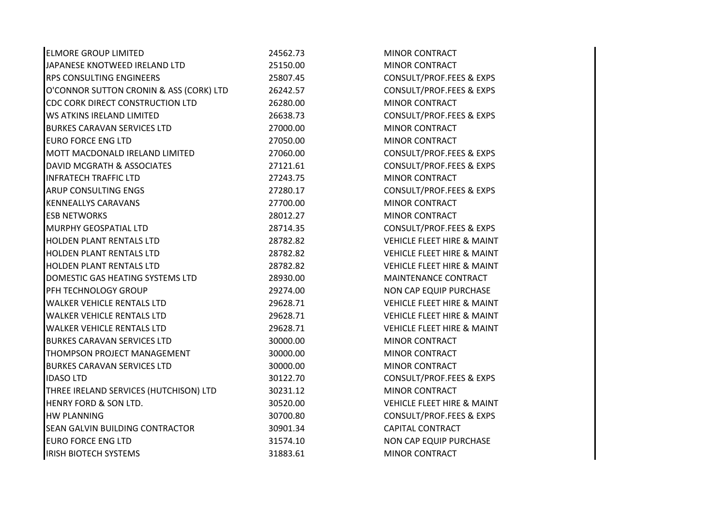| <b>ELMORE GROUP LIMITED</b>             | 24562.73 | <b>MINOR CONTRACT</b>                 |
|-----------------------------------------|----------|---------------------------------------|
| JAPANESE KNOTWEED IRELAND LTD           | 25150.00 | <b>MINOR CONTRACT</b>                 |
| <b>RPS CONSULTING ENGINEERS</b>         | 25807.45 | CONSULT/PROF.FEES & EXPS              |
| O'CONNOR SUTTON CRONIN & ASS (CORK) LTD | 26242.57 | CONSULT/PROF.FEES & EXPS              |
| CDC CORK DIRECT CONSTRUCTION LTD        | 26280.00 | <b>MINOR CONTRACT</b>                 |
| WS ATKINS IRELAND LIMITED               | 26638.73 | <b>CONSULT/PROF.FEES &amp; EXPS</b>   |
| <b>BURKES CARAVAN SERVICES LTD</b>      | 27000.00 | MINOR CONTRACT                        |
| <b>EURO FORCE ENG LTD</b>               | 27050.00 | MINOR CONTRACT                        |
| MOTT MACDONALD IRELAND LIMITED          | 27060.00 | CONSULT/PROF.FEES & EXPS              |
| DAVID MCGRATH & ASSOCIATES              | 27121.61 | CONSULT/PROF.FEES & EXPS              |
| <b>INFRATECH TRAFFIC LTD</b>            | 27243.75 | <b>MINOR CONTRACT</b>                 |
| ARUP CONSULTING ENGS                    | 27280.17 | CONSULT/PROF.FEES & EXPS              |
| <b>KENNEALLYS CARAVANS</b>              | 27700.00 | <b>MINOR CONTRACT</b>                 |
| <b>ESB NETWORKS</b>                     | 28012.27 | <b>MINOR CONTRACT</b>                 |
| MURPHY GEOSPATIAL LTD                   | 28714.35 | CONSULT/PROF.FEES & EXPS              |
| HOLDEN PLANT RENTALS LTD                | 28782.82 | <b>VEHICLE FLEET HIRE &amp; MAINT</b> |
| <b>HOLDEN PLANT RENTALS LTD</b>         | 28782.82 | <b>VEHICLE FLEET HIRE &amp; MAINT</b> |
| <b>HOLDEN PLANT RENTALS LTD</b>         | 28782.82 | <b>VEHICLE FLEET HIRE &amp; MAINT</b> |
| DOMESTIC GAS HEATING SYSTEMS LTD        | 28930.00 | MAINTENANCE CONTRACT                  |
| PFH TECHNOLOGY GROUP                    | 29274.00 | NON CAP EQUIP PURCHASE                |
| <b>WALKER VEHICLE RENTALS LTD</b>       | 29628.71 | VEHICLE FLEET HIRE & MAINT            |
| <b>WALKER VEHICLE RENTALS LTD</b>       | 29628.71 | <b>VEHICLE FLEET HIRE &amp; MAINT</b> |
| <b>WALKER VEHICLE RENTALS LTD</b>       | 29628.71 | <b>VEHICLE FLEET HIRE &amp; MAINT</b> |
| <b>BURKES CARAVAN SERVICES LTD</b>      | 30000.00 | <b>MINOR CONTRACT</b>                 |
| THOMPSON PROJECT MANAGEMENT             | 30000.00 | <b>MINOR CONTRACT</b>                 |
| <b>BURKES CARAVAN SERVICES LTD</b>      | 30000.00 | MINOR CONTRACT                        |
| <b>IDASO LTD</b>                        | 30122.70 | CONSULT/PROF.FEES & EXPS              |
| THREE IRELAND SERVICES (HUTCHISON) LTD  | 30231.12 | MINOR CONTRACT                        |
| HENRY FORD & SON LTD.                   | 30520.00 | <b>VEHICLE FLEET HIRE &amp; MAINT</b> |
| <b>HW PLANNING</b>                      | 30700.80 | CONSULT/PROF.FEES & EXPS              |
| SEAN GALVIN BUILDING CONTRACTOR         | 30901.34 | <b>CAPITAL CONTRACT</b>               |
| <b>EURO FORCE ENG LTD</b>               | 31574.10 | NON CAP EQUIP PURCHASE                |
| <b>IRISH BIOTECH SYSTEMS</b>            | 31883.61 | <b>MINOR CONTRACT</b>                 |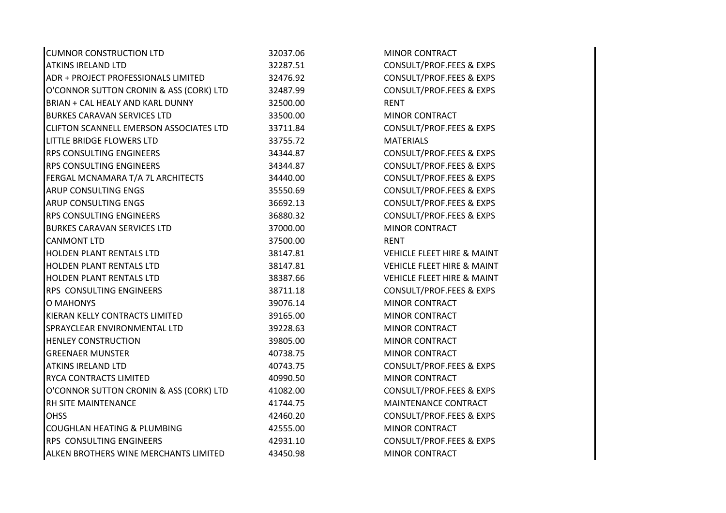| <b>CUMNOR CONSTRUCTION LTD</b>          | 32037.06 | <b>MINOR CONTRACT</b>                 |
|-----------------------------------------|----------|---------------------------------------|
| <b>ATKINS IRELAND LTD</b>               | 32287.51 | CONSULT/PROF.FEES & EXPS              |
| ADR + PROJECT PROFESSIONALS LIMITED     | 32476.92 | CONSULT/PROF.FEES & EXPS              |
| O'CONNOR SUTTON CRONIN & ASS (CORK) LTD | 32487.99 | CONSULT/PROF.FEES & EXPS              |
| BRIAN + CAL HEALY AND KARL DUNNY        | 32500.00 | <b>RENT</b>                           |
| <b>BURKES CARAVAN SERVICES LTD</b>      | 33500.00 | <b>MINOR CONTRACT</b>                 |
| CLIFTON SCANNELL EMERSON ASSOCIATES LTD | 33711.84 | CONSULT/PROF.FEES & EXPS              |
| LITTLE BRIDGE FLOWERS LTD               | 33755.72 | <b>MATERIALS</b>                      |
| <b>RPS CONSULTING ENGINEERS</b>         | 34344.87 | <b>CONSULT/PROF.FEES &amp; EXPS</b>   |
| RPS CONSULTING ENGINEERS                | 34344.87 | CONSULT/PROF.FEES & EXPS              |
| FERGAL MCNAMARA T/A 7L ARCHITECTS       | 34440.00 | CONSULT/PROF.FEES & EXPS              |
| <b>ARUP CONSULTING ENGS</b>             | 35550.69 | CONSULT/PROF.FEES & EXPS              |
| ARUP CONSULTING ENGS                    | 36692.13 | <b>CONSULT/PROF.FEES &amp; EXPS</b>   |
| <b>RPS CONSULTING ENGINEERS</b>         | 36880.32 | <b>CONSULT/PROF.FEES &amp; EXPS</b>   |
| <b>BURKES CARAVAN SERVICES LTD</b>      | 37000.00 | <b>MINOR CONTRACT</b>                 |
| <b>CANMONT LTD</b>                      | 37500.00 | <b>RENT</b>                           |
| <b>HOLDEN PLANT RENTALS LTD</b>         | 38147.81 | <b>VEHICLE FLEET HIRE &amp; MAINT</b> |
| <b>HOLDEN PLANT RENTALS LTD</b>         | 38147.81 | <b>VEHICLE FLEET HIRE &amp; MAINT</b> |
| <b>HOLDEN PLANT RENTALS LTD</b>         | 38387.66 | <b>VEHICLE FLEET HIRE &amp; MAINT</b> |
| RPS CONSULTING ENGINEERS                | 38711.18 | CONSULT/PROF.FEES & EXPS              |
| <b>O MAHONYS</b>                        | 39076.14 | MINOR CONTRACT                        |
| KIERAN KELLY CONTRACTS LIMITED          | 39165.00 | <b>MINOR CONTRACT</b>                 |
| SPRAYCLEAR ENVIRONMENTAL LTD            | 39228.63 | <b>MINOR CONTRACT</b>                 |
| <b>HENLEY CONSTRUCTION</b>              | 39805.00 | <b>MINOR CONTRACT</b>                 |
| <b>GREENAER MUNSTER</b>                 | 40738.75 | <b>MINOR CONTRACT</b>                 |
| <b>ATKINS IRELAND LTD</b>               | 40743.75 | CONSULT/PROF.FEES & EXPS              |
| <b>RYCA CONTRACTS LIMITED</b>           | 40990.50 | <b>MINOR CONTRACT</b>                 |
| O'CONNOR SUTTON CRONIN & ASS (CORK) LTD | 41082.00 | <b>CONSULT/PROF.FEES &amp; EXPS</b>   |
| RH SITE MAINTENANCE                     | 41744.75 | MAINTENANCE CONTRACT                  |
| <b>OHSS</b>                             | 42460.20 | CONSULT/PROF.FEES & EXPS              |
| <b>COUGHLAN HEATING &amp; PLUMBING</b>  | 42555.00 | <b>MINOR CONTRACT</b>                 |
| RPS CONSULTING ENGINEERS                | 42931.10 | CONSULT/PROF.FEES & EXPS              |
| ALKEN BROTHERS WINE MERCHANTS LIMITED   | 43450.98 | <b>MINOR CONTRACT</b>                 |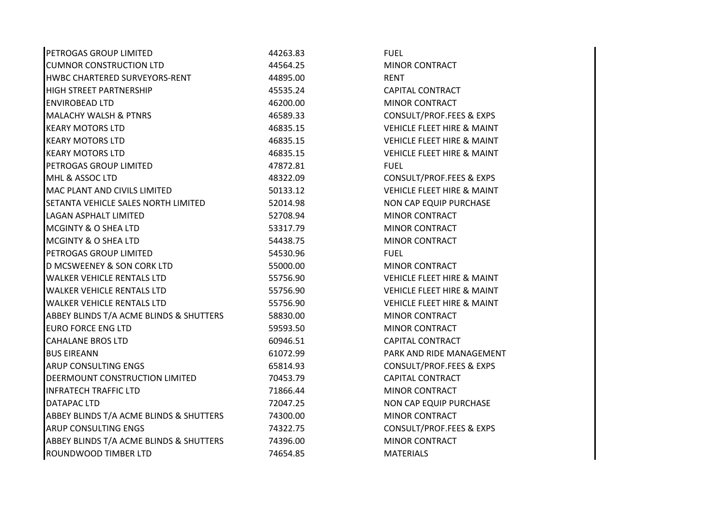| PETROGAS GROUP LIMITED                  | 44263.83 | <b>FUEL</b>                           |
|-----------------------------------------|----------|---------------------------------------|
| <b>CUMNOR CONSTRUCTION LTD</b>          | 44564.25 | MINOR CONTRACT                        |
| HWBC CHARTERED SURVEYORS-RENT           | 44895.00 | <b>RENT</b>                           |
| <b>HIGH STREET PARTNERSHIP</b>          | 45535.24 | <b>CAPITAL CONTRACT</b>               |
| <b>ENVIROBEAD LTD</b>                   | 46200.00 | <b>MINOR CONTRACT</b>                 |
| <b>MALACHY WALSH &amp; PTNRS</b>        | 46589.33 | CONSULT/PROF.FEES & EXPS              |
| <b>KEARY MOTORS LTD</b>                 | 46835.15 | <b>VEHICLE FLEET HIRE &amp; MAINT</b> |
| <b>KEARY MOTORS LTD</b>                 | 46835.15 | <b>VEHICLE FLEET HIRE &amp; MAINT</b> |
| <b>KEARY MOTORS LTD</b>                 | 46835.15 | <b>VEHICLE FLEET HIRE &amp; MAINT</b> |
| PETROGAS GROUP LIMITED                  | 47872.81 | <b>FUEL</b>                           |
| MHL & ASSOC LTD                         | 48322.09 | CONSULT/PROF.FEES & EXPS              |
| <b>MAC PLANT AND CIVILS LIMITED</b>     | 50133.12 | <b>VEHICLE FLEET HIRE &amp; MAINT</b> |
| SETANTA VEHICLE SALES NORTH LIMITED     | 52014.98 | NON CAP EQUIP PURCHASE                |
| <b>LAGAN ASPHALT LIMITED</b>            | 52708.94 | <b>MINOR CONTRACT</b>                 |
| <b>MCGINTY &amp; O SHEA LTD</b>         | 53317.79 | <b>MINOR CONTRACT</b>                 |
| <b>MCGINTY &amp; O SHEA LTD</b>         | 54438.75 | <b>MINOR CONTRACT</b>                 |
| PETROGAS GROUP LIMITED                  | 54530.96 | <b>FUEL</b>                           |
| D MCSWEENEY & SON CORK LTD              | 55000.00 | <b>MINOR CONTRACT</b>                 |
| <b>WALKER VEHICLE RENTALS LTD</b>       | 55756.90 | <b>VEHICLE FLEET HIRE &amp; MAINT</b> |
| <b>WALKER VEHICLE RENTALS LTD</b>       | 55756.90 | <b>VEHICLE FLEET HIRE &amp; MAINT</b> |
| <b>WALKER VEHICLE RENTALS LTD</b>       | 55756.90 | <b>VEHICLE FLEET HIRE &amp; MAINT</b> |
| ABBEY BLINDS T/A ACME BLINDS & SHUTTERS | 58830.00 | <b>MINOR CONTRACT</b>                 |
| <b>EURO FORCE ENG LTD</b>               | 59593.50 | <b>MINOR CONTRACT</b>                 |
| <b>CAHALANE BROS LTD</b>                | 60946.51 | <b>CAPITAL CONTRACT</b>               |
| <b>BUS EIREANN</b>                      | 61072.99 | PARK AND RIDE MANAGEMENT              |
| <b>ARUP CONSULTING ENGS</b>             | 65814.93 | <b>CONSULT/PROF.FEES &amp; EXPS</b>   |
| DEERMOUNT CONSTRUCTION LIMITED          | 70453.79 | <b>CAPITAL CONTRACT</b>               |
| <b>INFRATECH TRAFFIC LTD</b>            | 71866.44 | <b>MINOR CONTRACT</b>                 |
| <b>DATAPAC LTD</b>                      | 72047.25 | NON CAP EQUIP PURCHASE                |
| ABBEY BLINDS T/A ACME BLINDS & SHUTTERS | 74300.00 | <b>MINOR CONTRACT</b>                 |
| <b>ARUP CONSULTING ENGS</b>             | 74322.75 | <b>CONSULT/PROF.FEES &amp; EXPS</b>   |
| ABBEY BLINDS T/A ACME BLINDS & SHUTTERS | 74396.00 | <b>MINOR CONTRACT</b>                 |
| <b>ROUNDWOOD TIMBER LTD</b>             | 74654.85 | <b>MATERIALS</b>                      |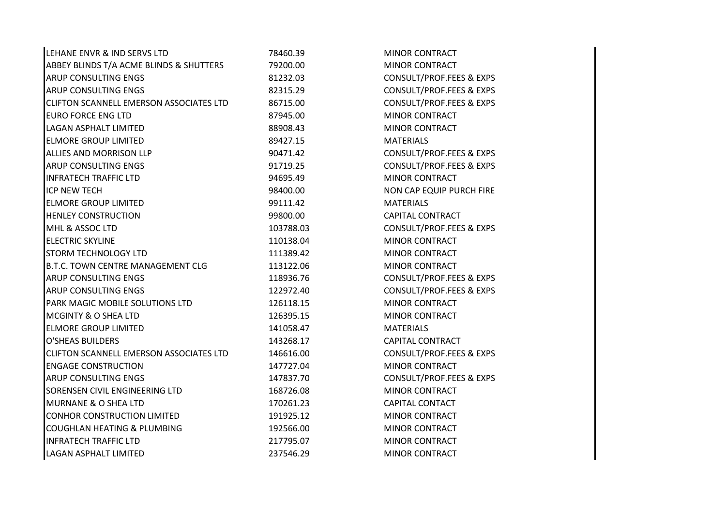| LEHANE ENVR & IND SERVS LTD              | 78460.39  | <b>MINOR CONTRACT</b>               |  |
|------------------------------------------|-----------|-------------------------------------|--|
| ABBEY BLINDS T/A ACME BLINDS & SHUTTERS  | 79200.00  | <b>MINOR CONTRACT</b>               |  |
| <b>ARUP CONSULTING ENGS</b>              | 81232.03  | <b>CONSULT/PROF.FEES &amp; EXPS</b> |  |
| <b>ARUP CONSULTING ENGS</b>              | 82315.29  | CONSULT/PROF.FEES & EXPS            |  |
| CLIFTON SCANNELL EMERSON ASSOCIATES LTD  | 86715.00  | <b>CONSULT/PROF.FEES &amp; EXPS</b> |  |
| <b>EURO FORCE ENG LTD</b>                | 87945.00  | MINOR CONTRACT                      |  |
| LAGAN ASPHALT LIMITED                    | 88908.43  | <b>MINOR CONTRACT</b>               |  |
| <b>ELMORE GROUP LIMITED</b>              | 89427.15  | <b>MATERIALS</b>                    |  |
| ALLIES AND MORRISON LLP                  | 90471.42  | <b>CONSULT/PROF.FEES &amp; EXPS</b> |  |
| <b>ARUP CONSULTING ENGS</b>              | 91719.25  | <b>CONSULT/PROF.FEES &amp; EXPS</b> |  |
| <b>INFRATECH TRAFFIC LTD</b>             | 94695.49  | <b>MINOR CONTRACT</b>               |  |
| ICP NEW TECH                             | 98400.00  | NON CAP EQUIP PURCH FIRE            |  |
| <b>ELMORE GROUP LIMITED</b>              | 99111.42  | <b>MATERIALS</b>                    |  |
| <b>HENLEY CONSTRUCTION</b>               | 99800.00  | <b>CAPITAL CONTRACT</b>             |  |
| MHL & ASSOC LTD                          | 103788.03 | <b>CONSULT/PROF.FEES &amp; EXPS</b> |  |
| <b>ELECTRIC SKYLINE</b>                  | 110138.04 | <b>MINOR CONTRACT</b>               |  |
| <b>STORM TECHNOLOGY LTD</b>              | 111389.42 | MINOR CONTRACT                      |  |
| <b>B.T.C. TOWN CENTRE MANAGEMENT CLG</b> | 113122.06 | <b>MINOR CONTRACT</b>               |  |
| <b>ARUP CONSULTING ENGS</b>              | 118936.76 | CONSULT/PROF.FEES & EXPS            |  |
| <b>ARUP CONSULTING ENGS</b>              | 122972.40 | <b>CONSULT/PROF.FEES &amp; EXPS</b> |  |
| PARK MAGIC MOBILE SOLUTIONS LTD          | 126118.15 | <b>MINOR CONTRACT</b>               |  |
| <b>MCGINTY &amp; O SHEA LTD</b>          | 126395.15 | <b>MINOR CONTRACT</b>               |  |
| <b>ELMORE GROUP LIMITED</b>              | 141058.47 | <b>MATERIALS</b>                    |  |
| <b>O'SHEAS BUILDERS</b>                  | 143268.17 | <b>CAPITAL CONTRACT</b>             |  |
| CLIFTON SCANNELL EMERSON ASSOCIATES LTD  | 146616.00 | <b>CONSULT/PROF.FEES &amp; EXPS</b> |  |
| <b>ENGAGE CONSTRUCTION</b>               | 147727.04 | <b>MINOR CONTRACT</b>               |  |
| <b>ARUP CONSULTING ENGS</b>              | 147837.70 | CONSULT/PROF.FEES & EXPS            |  |
| SORENSEN CIVIL ENGINEERING LTD           | 168726.08 | <b>MINOR CONTRACT</b>               |  |
| MURNANE & O SHEA LTD                     | 170261.23 | <b>CAPITAL CONTACT</b>              |  |
| <b>CONHOR CONSTRUCTION LIMITED</b>       | 191925.12 | <b>MINOR CONTRACT</b>               |  |
| COUGHLAN HEATING & PLUMBING              | 192566.00 | <b>MINOR CONTRACT</b>               |  |
| <b>INFRATECH TRAFFIC LTD</b>             | 217795.07 | <b>MINOR CONTRACT</b>               |  |
| <b>LAGAN ASPHALT LIMITED</b>             | 237546.29 | <b>MINOR CONTRACT</b>               |  |